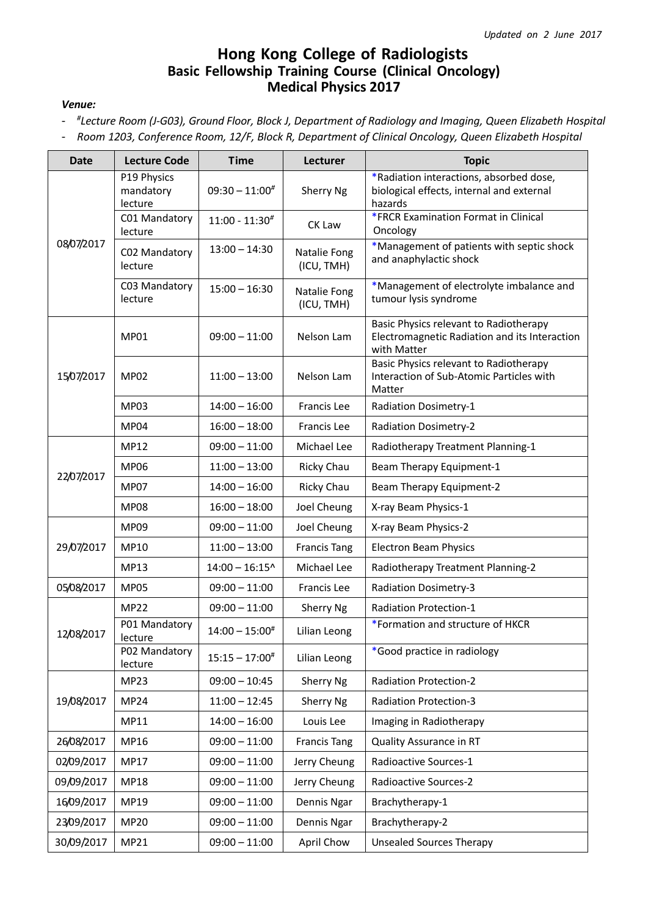## **Hong Kong College of Radiologists Basic Fellowship Training Course (Clinical Oncology) Medical Physics 2017**

## *Venue:*

- *# Lecture Room (J-G03), Ground Floor, Block J, Department of Radiology and Imaging, Queen Elizabeth Hospital*
- *Room 1203, Conference Room, 12/F, Block R, Department of Clinical Oncology, Queen Elizabeth Hospital*

| <b>Date</b> | <b>Lecture Code</b>                 | <b>Time</b>             | Lecturer                   | <b>Topic</b>                                                                                           |
|-------------|-------------------------------------|-------------------------|----------------------------|--------------------------------------------------------------------------------------------------------|
| 08/07/2017  | P19 Physics<br>mandatory<br>lecture | $09:30 - 11:00^{\#}$    | Sherry Ng                  | *Radiation interactions, absorbed dose,<br>biological effects, internal and external<br>hazards        |
|             | C01 Mandatory<br>lecture            | $11:00 - 11:30#$        | CK Law                     | *FRCR Examination Format in Clinical<br>Oncology                                                       |
|             | C02 Mandatory<br>lecture            | $13:00 - 14:30$         | Natalie Fong<br>(ICU, TMH) | *Management of patients with septic shock<br>and anaphylactic shock                                    |
|             | C03 Mandatory<br>lecture            | $15:00 - 16:30$         | Natalie Fong<br>(ICU, TMH) | *Management of electrolyte imbalance and<br>tumour lysis syndrome                                      |
| 15/07/2017  | <b>MP01</b>                         | $09:00 - 11:00$         | Nelson Lam                 | Basic Physics relevant to Radiotherapy<br>Electromagnetic Radiation and its Interaction<br>with Matter |
|             | <b>MP02</b>                         | $11:00 - 13:00$         | Nelson Lam                 | Basic Physics relevant to Radiotherapy<br>Interaction of Sub-Atomic Particles with<br>Matter           |
|             | MP03                                | $14:00 - 16:00$         | <b>Francis Lee</b>         | <b>Radiation Dosimetry-1</b>                                                                           |
|             | MP04                                | $16:00 - 18:00$         | <b>Francis Lee</b>         | <b>Radiation Dosimetry-2</b>                                                                           |
|             | <b>MP12</b>                         | $09:00 - 11:00$         | Michael Lee                | Radiotherapy Treatment Planning-1                                                                      |
|             | <b>MP06</b>                         | $11:00 - 13:00$         | Ricky Chau                 | Beam Therapy Equipment-1                                                                               |
| 22/07/2017  | <b>MP07</b>                         | $14:00 - 16:00$         | Ricky Chau                 | Beam Therapy Equipment-2                                                                               |
|             | <b>MP08</b>                         | $16:00 - 18:00$         | Joel Cheung                | X-ray Beam Physics-1                                                                                   |
|             | MP09                                | $09:00 - 11:00$         | Joel Cheung                | X-ray Beam Physics-2                                                                                   |
| 29/07/2017  | MP10                                | $11:00 - 13:00$         | <b>Francis Tang</b>        | <b>Electron Beam Physics</b>                                                                           |
|             | <b>MP13</b>                         | $14:00 - 16:15^{\circ}$ | Michael Lee                | Radiotherapy Treatment Planning-2                                                                      |
| 05/08/2017  | <b>MP05</b>                         | $09:00 - 11:00$         | <b>Francis Lee</b>         | <b>Radiation Dosimetry-3</b>                                                                           |
| 12/08/2017  | <b>MP22</b>                         | $09:00 - 11:00$         | Sherry Ng                  | <b>Radiation Protection-1</b>                                                                          |
|             | P01 Mandatory<br>lecture            | $14:00 - 15:00^{\#}$    | Lilian Leong               | *Formation and structure of HKCR                                                                       |
|             | P02 Mandatory<br>lecture            | $15:15 - 17:00^{\#}$    | Lilian Leong               | *Good practice in radiology                                                                            |
|             | <b>MP23</b>                         | $09:00 - 10:45$         | Sherry Ng                  | <b>Radiation Protection-2</b>                                                                          |
| 19/08/2017  | <b>MP24</b>                         | $11:00 - 12:45$         | Sherry Ng                  | <b>Radiation Protection-3</b>                                                                          |
|             | MP11                                | $14:00 - 16:00$         | Louis Lee                  | Imaging in Radiotherapy                                                                                |
| 26/08/2017  | MP16                                | $09:00 - 11:00$         | <b>Francis Tang</b>        | <b>Quality Assurance in RT</b>                                                                         |
| 02/09/2017  | <b>MP17</b>                         | $09:00 - 11:00$         | Jerry Cheung               | Radioactive Sources-1                                                                                  |
| 09/09/2017  | <b>MP18</b>                         | $09:00 - 11:00$         | Jerry Cheung               | Radioactive Sources-2                                                                                  |
| 16/09/2017  | MP19                                | $09:00 - 11:00$         | Dennis Ngar                | Brachytherapy-1                                                                                        |
| 23/09/2017  | <b>MP20</b>                         | $09:00 - 11:00$         | Dennis Ngar                | Brachytherapy-2                                                                                        |
| 30/09/2017  | MP21                                | $09:00 - 11:00$         | April Chow                 | <b>Unsealed Sources Therapy</b>                                                                        |